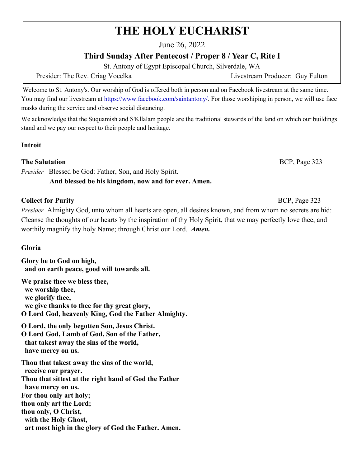# **THE HOLY EUCHARIST**

June 26, 2022

# **Third Sunday After Pentecost / Proper 8 / Year C, Rite I**

St. Antony of Egypt Episcopal Church, Silverdale, WA

Presider: The Rev. Criag Vocelka Livestream Producer: Guy Fulton

Welcome to St. Antony's. Our worship of God is offered both in person and on Facebook livestream at the same time. You may find our livestream at [https://www.facebook.com/saintantony/.](https://www.facebook.com/saintantony/) For those worshiping in person, we will use face masks during the service and observe social distancing.

We acknowledge that the Suquamish and S'Kllalam people are the traditional stewards of the land on which our buildings stand and we pay our respect to their people and heritage.

## **Introit**

#### **The Salutation** BCP, Page 323

*Presider* Blessed be God: Father, Son, and Holy Spirit.

## **And blessed be his kingdom, now and for ever. Amen.**

## **Collect for Purity 323 BCP**, Page 323

*Presider* Almighty God, unto whom all hearts are open, all desires known, and from whom no secrets are hid: Cleanse the thoughts of our hearts by the inspiration of thy Holy Spirit, that we may perfectly love thee, and worthily magnify thy holy Name; through Christ our Lord. *Amen.*

## **Gloria**

**Glory be to God on high, and on earth peace, good will towards all.**

**We praise thee we bless thee, we worship thee, we glorify thee, we give thanks to thee for thy great glory, O Lord God, heavenly King, God the Father Almighty.**

**O Lord, the only begotten Son, Jesus Christ. O Lord God, Lamb of God, Son of the Father, that takest away the sins of the world, have mercy on us.**

**Thou that takest away the sins of the world, receive our prayer. Thou that sittest at the right hand of God the Father have mercy on us. For thou only art holy; thou only art the Lord; thou only, O Christ, with the Holy Ghost, art most high in the glory of God the Father. Amen.**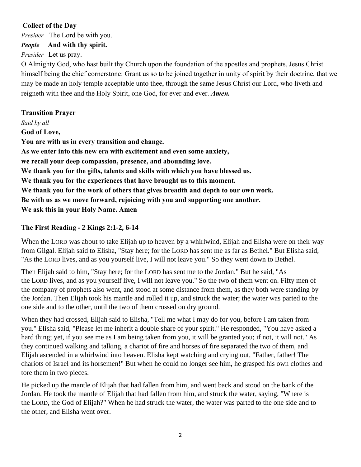## **Collect of the Day**

*Presider* The Lord be with you.

## *People* **And with thy spirit.**

*Presider* Let us pray.

O Almighty God, who hast built thy Church upon the foundation of the apostles and prophets, Jesus Christ himself being the chief cornerstone: Grant us so to be joined together in unity of spirit by their doctrine, that we may be made an holy temple acceptable unto thee, through the same Jesus Christ our Lord, who liveth and reigneth with thee and the Holy Spirit, one God, for ever and ever. *Amen.*

## **Transition Prayer**

*Said by all* **God of Love, You are with us in every transition and change. As we enter into this new era with excitement and even some anxiety, we recall your deep compassion, presence, and abounding love. We thank you for the gifts, talents and skills with which you have blessed us. We thank you for the experiences that have brought us to this moment. We thank you for the work of others that gives breadth and depth to our own work. Be with us as we move forward, rejoicing with you and supporting one another. We ask this in your Holy Name. Amen**

## **The First Reading - 2 Kings 2:1-2, 6-14**

When the LORD was about to take Elijah up to heaven by a whirlwind, Elijah and Elisha were on their way from Gilgal. Elijah said to Elisha, "Stay here; for the LORD has sent me as far as Bethel." But Elisha said, "As the LORD lives, and as you yourself live, I will not leave you." So they went down to Bethel.

Then Elijah said to him, "Stay here; for the LORD has sent me to the Jordan." But he said, "As the LORD lives, and as you yourself live, I will not leave you." So the two of them went on. Fifty men of the company of prophets also went, and stood at some distance from them, as they both were standing by the Jordan. Then Elijah took his mantle and rolled it up, and struck the water; the water was parted to the one side and to the other, until the two of them crossed on dry ground.

When they had crossed, Elijah said to Elisha, "Tell me what I may do for you, before I am taken from you." Elisha said, "Please let me inherit a double share of your spirit." He responded, "You have asked a hard thing; yet, if you see me as I am being taken from you, it will be granted you; if not, it will not." As they continued walking and talking, a chariot of fire and horses of fire separated the two of them, and Elijah ascended in a whirlwind into heaven. Elisha kept watching and crying out, "Father, father! The chariots of Israel and its horsemen!" But when he could no longer see him, he grasped his own clothes and tore them in two pieces.

He picked up the mantle of Elijah that had fallen from him, and went back and stood on the bank of the Jordan. He took the mantle of Elijah that had fallen from him, and struck the water, saying, "Where is the LORD, the God of Elijah?" When he had struck the water, the water was parted to the one side and to the other, and Elisha went over.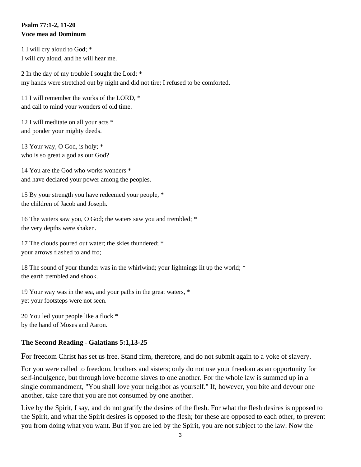## **Psalm 77:1-2, 11-20 Voce mea ad Dominum**

1 I will cry aloud to God; \* I will cry aloud, and he will hear me.

2 In the day of my trouble I sought the Lord; \* my hands were stretched out by night and did not tire; I refused to be comforted.

11 I will remember the works of the LORD, \* and call to mind your wonders of old time.

12 I will meditate on all your acts \* and ponder your mighty deeds.

13 Your way, O God, is holy; \* who is so great a god as our God?

14 You are the God who works wonders \* and have declared your power among the peoples.

15 By your strength you have redeemed your people, \* the children of Jacob and Joseph.

16 The waters saw you, O God; the waters saw you and trembled; \* the very depths were shaken.

17 The clouds poured out water; the skies thundered; \* your arrows flashed to and fro;

18 The sound of your thunder was in the whirlwind; your lightnings lit up the world; \* the earth trembled and shook.

19 Your way was in the sea, and your paths in the great waters, \* yet your footsteps were not seen.

20 You led your people like a flock \* by the hand of Moses and Aaron.

## **The Second Reading - Galatians 5:1,13-25**

For freedom Christ has set us free. Stand firm, therefore, and do not submit again to a yoke of slavery.

For you were called to freedom, brothers and sisters; only do not use your freedom as an opportunity for self-indulgence, but through love become slaves to one another. For the whole law is summed up in a single commandment, "You shall love your neighbor as yourself." If, however, you bite and devour one another, take care that you are not consumed by one another.

Live by the Spirit, I say, and do not gratify the desires of the flesh. For what the flesh desires is opposed to the Spirit, and what the Spirit desires is opposed to the flesh; for these are opposed to each other, to prevent you from doing what you want. But if you are led by the Spirit, you are not subject to the law. Now the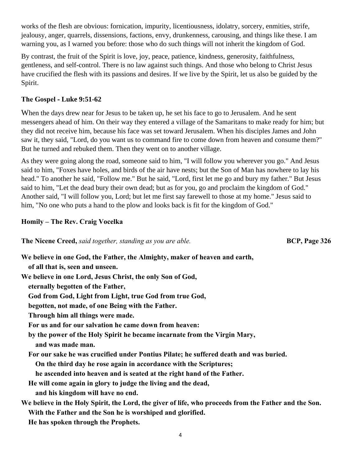works of the flesh are obvious: fornication, impurity, licentiousness, idolatry, sorcery, enmities, strife, jealousy, anger, quarrels, dissensions, factions, envy, drunkenness, carousing, and things like these. I am warning you, as I warned you before: those who do such things will not inherit the kingdom of God.

By contrast, the fruit of the Spirit is love, joy, peace, patience, kindness, generosity, faithfulness, gentleness, and self-control. There is no law against such things. And those who belong to Christ Jesus have crucified the flesh with its passions and desires. If we live by the Spirit, let us also be guided by the Spirit.

#### **The Gospel - Luke 9:51-62**

When the days drew near for Jesus to be taken up, he set his face to go to Jerusalem. And he sent messengers ahead of him. On their way they entered a village of the Samaritans to make ready for him; but they did not receive him, because his face was set toward Jerusalem. When his disciples James and John saw it, they said, "Lord, do you want us to command fire to come down from heaven and consume them?" But he turned and rebuked them. Then they went on to another village.

As they were going along the road, someone said to him, "I will follow you wherever you go." And Jesus said to him, "Foxes have holes, and birds of the air have nests; but the Son of Man has nowhere to lay his head." To another he said, "Follow me." But he said, "Lord, first let me go and bury my father." But Jesus said to him, "Let the dead bury their own dead; but as for you, go and proclaim the kingdom of God." Another said, "I will follow you, Lord; but let me first say farewell to those at my home." Jesus said to him, "No one who puts a hand to the plow and looks back is fit for the kingdom of God."

#### **Homily – The Rev. Craig Vocelka**

**The Nicene Creed,** *said together, standing as you are able.* **BCP, Page 326** 

**We believe in one God, the Father, the Almighty, maker of heaven and earth, of all that is, seen and unseen. We believe in one Lord, Jesus Christ, the only Son of God, eternally begotten of the Father, God from God, Light from Light, true God from true God, begotten, not made, of one Being with the Father. Through him all things were made. For us and for our salvation he came down from heaven: by the power of the Holy Spirit he became incarnate from the Virgin Mary, and was made man. For our sake he was crucified under Pontius Pilate; he suffered death and was buried. On the third day he rose again in accordance with the Scriptures; he ascended into heaven and is seated at the right hand of the Father. He will come again in glory to judge the living and the dead, and his kingdom will have no end. We believe in the Holy Spirit, the Lord, the giver of life, who proceeds from the Father and the Son. With the Father and the Son he is worshiped and glorified. He has spoken through the Prophets.**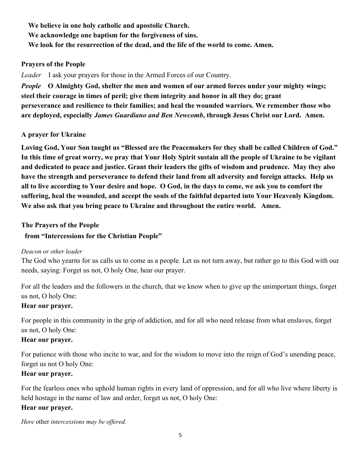**We believe in one holy catholic and apostolic Church. We acknowledge one baptism for the forgiveness of sins. We look for the resurrection of the dead, and the life of the world to come. Amen.**

#### **Prayers of the People**

*Leader* I ask your prayers for those in the Armed Forces of our Country.

*People* **O Almighty God, shelter the men and women of our armed forces under your mighty wings; steel their courage in times of peril; give them integrity and honor in all they do; grant perseverance and resilience to their families; and heal the wounded warriors. We remember those who are deployed, especially** *James Guardiano and Ben Newcomb***, through Jesus Christ our Lord. Amen.**

#### **A prayer for Ukraine**

**Loving God, Your Son taught us "Blessed are the Peacemakers for they shall be called Children of God." In this time of great worry, we pray that Your Holy Spirit sustain all the people of Ukraine to be vigilant and dedicated to peace and justice. Grant their leaders the gifts of wisdom and prudence. May they also have the strength and perseverance to defend their land from all adversity and foreign attacks. Help us all to live according to Your desire and hope. O God, in the days to come, we ask you to comfort the suffering, heal the wounded, and accept the souls of the faithful departed into Your Heavenly Kingdom. We also ask that you bring peace to Ukraine and throughout the entire world. Amen.**

#### **The Prayers of the People**

#### **from "Intercessions for the Christian People"**

#### *Deacon or other leader*

The God who yearns for us calls us to come as a people. Let us not turn away, but rather go to this God with our needs, saying: Forget us not, O holy One, hear our prayer.

For all the leaders and the followers in the church, that we know when to give up the unimportant things, forget us not, O holy One:

#### **Hear our prayer.**

For people in this community in the grip of addiction, and for all who need release from what enslaves, forget us not, O holy One:

#### **Hear our prayer.**

For patience with those who incite to war, and for the wisdom to move into the reign of God's unending peace, forget us not O holy One:

#### **Hear our prayer.**

For the fearless ones who uphold human rights in every land of oppression, and for all who live where liberty is held hostage in the name of law and order, forget us not, O holy One:

#### **Hear our prayer.**

*Here* other *intercessions may be offered.*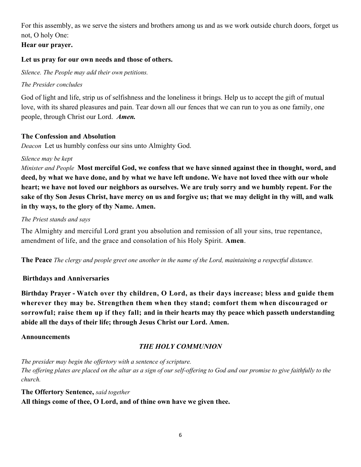For this assembly, as we serve the sisters and brothers among us and as we work outside church doors, forget us not, O holy One:

**Hear our prayer.**

#### **Let us pray for our own needs and those of others.**

*Silence. The People may add their own petitions.*

## *The Presider concludes*

God of light and life, strip us of selfishness and the loneliness it brings. Help us to accept the gift of mutual love, with its shared pleasures and pain. Tear down all our fences that we can run to you as one family, one people, through Christ our Lord. *Amen.*

## **The Confession and Absolution**

*Deacon* Let us humbly confess our sins unto Almighty God.

## *Silence may be kept*

*Minister and People* **Most merciful God, we confess that we have sinned against thee in thought, word, and deed, by what we have done, and by what we have left undone. We have not loved thee with our whole heart; we have not loved our neighbors as ourselves. We are truly sorry and we humbly repent. For the sake of thy Son Jesus Christ, have mercy on us and forgive us; that we may delight in thy will, and walk in thy ways, to the glory of thy Name. Amen.**

## *The Priest stands and says*

The Almighty and merciful Lord grant you absolution and remission of all your sins, true repentance, amendment of life, and the grace and consolation of his Holy Spirit. **Amen**.

**The Peace** *The clergy and people greet one another in the name of the Lord, maintaining a respectful distance.*

## **Birthdays and Anniversaries**

**Birthday Prayer - Watch over thy children, O Lord, as their days increase; bless and guide them wherever they may be. Strengthen them when they stand; comfort them when discouraged or sorrowful; raise them up if they fall; and in their hearts may thy peace which passeth understanding abide all the days of their life; through Jesus Christ our Lord. Amen.**

#### **Announcements**

## *THE HOLY COMMUNION*

*The presider may begin the offertory with a sentence of scripture. The offering plates are placed on the altar as a sign of our self-offering to God and our promise to give faithfully to the church.* 

## **The Offertory Sentence,** *said together* **All things come of thee, O Lord, and of thine own have we given thee.**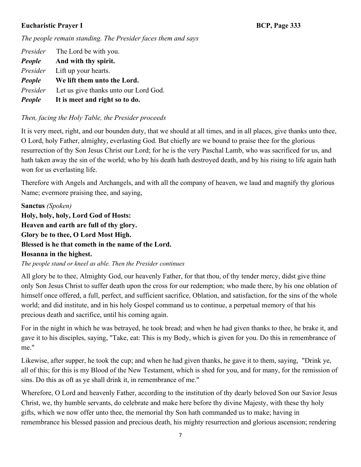#### **Eucharistic Prayer I** BCP, Page 333

*The people remain standing. The Presider faces them and says*

*Presider* The Lord be with you. *People* **And with thy spirit.** *Presider* Lift up your hearts. *People* **We lift them unto the Lord.** *Presider*Let us give thanks unto our Lord God. *People* **It is meet and right so to do.**

## *Then, facing the Holy Table, the Presider proceeds*

It is very meet, right, and our bounden duty, that we should at all times, and in all places, give thanks unto thee, O Lord, holy Father, almighty, everlasting God. But chiefly are we bound to praise thee for the glorious resurrection of thy Son Jesus Christ our Lord; for he is the very Paschal Lamb, who was sacrificed for us, and hath taken away the sin of the world; who by his death hath destroyed death, and by his rising to life again hath won for us everlasting life.

Therefore with Angels and Archangels, and with all the company of heaven, we laud and magnify thy glorious Name; evermore praising thee, and saying,

**Sanctus** *(Spoken)*  **Holy, holy, holy, Lord God of Hosts: Heaven and earth are full of thy glory. Glory be to thee, O Lord Most High. Blessed is he that cometh in the name of the Lord. Hosanna in the highest.**

*The people stand or kneel as able. Then the Presider continues*

All glory be to thee, Almighty God, our heavenly Father, for that thou, of thy tender mercy, didst give thine only Son Jesus Christ to suffer death upon the cross for our redemption; who made there, by his one oblation of himself once offered, a full, perfect, and sufficient sacrifice, Oblation, and satisfaction, for the sins of the whole world; and did institute, and in his holy Gospel command us to continue, a perpetual memory of that his precious death and sacrifice, until his coming again.

For in the night in which he was betrayed, he took bread; and when he had given thanks to thee, he brake it, and gave it to his disciples, saying, "Take, eat: This is my Body, which is given for you. Do this in remembrance of me."

Likewise, after supper, he took the cup; and when he had given thanks, he gave it to them, saying, "Drink ye, all of this; for this is my Blood of the New Testament, which is shed for you, and for many, for the remission of sins. Do this as oft as ye shall drink it, in remembrance of me."

Wherefore, O Lord and heavenly Father, according to the institution of thy dearly beloved Son our Savior Jesus Christ, we, thy humble servants, do celebrate and make here before thy divine Majesty, with these thy holy gifts, which we now offer unto thee, the memorial thy Son hath commanded us to make; having in remembrance his blessed passion and precious death, his mighty resurrection and glorious ascension; rendering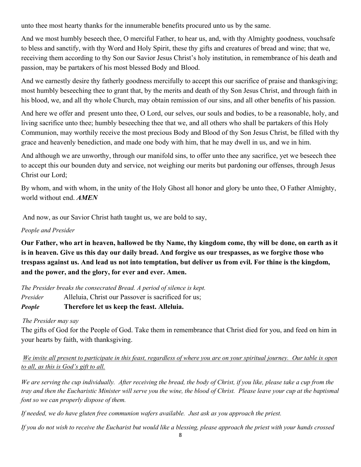unto thee most hearty thanks for the innumerable benefits procured unto us by the same.

And we most humbly beseech thee, O merciful Father, to hear us, and, with thy Almighty goodness, vouchsafe to bless and sanctify, with thy Word and Holy Spirit, these thy gifts and creatures of bread and wine; that we, receiving them according to thy Son our Savior Jesus Christ's holy institution, in remembrance of his death and passion, may be partakers of his most blessed Body and Blood.

And we earnestly desire thy fatherly goodness mercifully to accept this our sacrifice of praise and thanksgiving; most humbly beseeching thee to grant that, by the merits and death of thy Son Jesus Christ, and through faith in his blood, we, and all thy whole Church, may obtain remission of our sins, and all other benefits of his passion.

And here we offer and present unto thee, O Lord, our selves, our souls and bodies, to be a reasonable, holy, and living sacrifice unto thee; humbly beseeching thee that we, and all others who shall be partakers of this Holy Communion, may worthily receive the most precious Body and Blood of thy Son Jesus Christ, be filled with thy grace and heavenly benediction, and made one body with him, that he may dwell in us, and we in him.

And although we are unworthy, through our manifold sins, to offer unto thee any sacrifice, yet we beseech thee to accept this our bounden duty and service, not weighing our merits but pardoning our offenses, through Jesus Christ our Lord;

By whom, and with whom, in the unity of the Holy Ghost all honor and glory be unto thee, O Father Almighty, world without end. *AMEN*

And now, as our Savior Christ hath taught us, we are bold to say,

#### *People and Presider*

**Our Father, who art in heaven, hallowed be thy Name, thy kingdom come, thy will be done, on earth as it is in heaven. Give us this day our daily bread. And forgive us our trespasses, as we forgive those who trespass against us. And lead us not into temptation, but deliver us from evil. For thine is the kingdom, and the power, and the glory, for ever and ever. Amen.**

*The Presider breaks the consecrated Bread. A period of silence is kept. Presider* Alleluia, Christ our Passover is sacrificed for us;

## *People* **Therefore let us keep the feast. Alleluia.**

#### *The Presider may say*

The gifts of God for the People of God. Take them in remembrance that Christ died for you, and feed on him in your hearts by faith, with thanksgiving.

*We invite all present to participate in this feast, regardless of where you are on your spiritual journey. Our table is open to all, as this is God's gift to all.*

*We are serving the cup individually. After receiving the bread, the body of Christ, if you like, please take a cup from the tray and then the Eucharistic Minister will serve you the wine, the blood of Christ. Please leave your cup at the baptismal font so we can properly dispose of them.* 

*If needed, we do have gluten free communion wafers available. Just ask as you approach the priest.* 

*If you do not wish to receive the Eucharist but would like a blessing, please approach the priest with your hands crossed*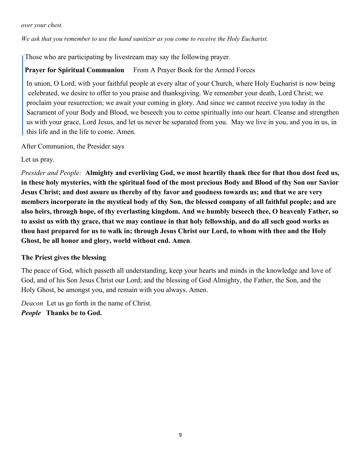*over your chest.* 

#### *We ask that you remember to use the hand sanitizer as you come to receive the Holy Eucharist.*

Those who are participating by livestream may say the following prayer.

**Prayer for Spiritual Communion** From A Prayer Book for the Armed Forces

 In union, O Lord, with your faithful people at every altar of your Church, where Holy Eucharist is now being celebrated, we desire to offer to you praise and thanksgiving. We remember your death, Lord Christ; we proclaim your resurrection; we await your coming in glory. And since we cannot receive you today in the Sacrament of your Body and Blood, we beseech you to come spiritually into our heart. Cleanse and strengthen us with your grace, Lord Jesus, and let us never be separated from you. May we live in you, and you in us, in this life and in the life to come. Amen.

After Communion, the Presider says

Let us pray.

*Presider and People:* **Almighty and everliving God, we most heartily thank thee for that thou dost feed us, in these holy mysteries, with the spiritual food of the most precious Body and Blood of thy Son our Savior Jesus Christ; and dost assure us thereby of thy favor and goodness towards us; and that we are very members incorporate in the mystical body of thy Son, the blessed company of all faithful people; and are also heirs, through hope, of thy everlasting kingdom. And we humbly beseech thee, O heavenly Father, so to assist us with thy grace, that we may continue in that holy fellowship, and do all such good works as thou hast prepared for us to walk in; through Jesus Christ our Lord, to whom with thee and the Holy Ghost, be all honor and glory, world without end. Amen**.

#### **The Priest gives the blessing**

The peace of God, which passeth all understanding, keep your hearts and minds in the knowledge and love of God, and of his Son Jesus Christ our Lord; and the blessing of God Almighty, the Father, the Son, and the Holy Ghost, be amongst you, and remain with you always. Amen.

*Deacon* Let us go forth in the name of Christ. *People* **Thanks be to God.**